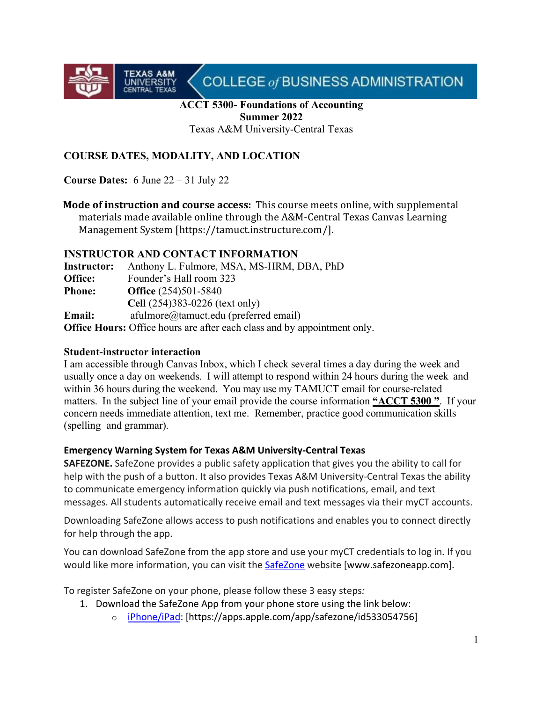

#### **ACCT 5300- Foundations of Accounting Summer 2022**

Texas A&M University-Central Texas

### **COURSE DATES, MODALITY, AND LOCATION**

**Course Dates:** 6 June 22 – 31 July 22

**TEXAS A&M**<br>UNIVERSITY<br>CENTRAL TEXAS

**Mode of instruction and course access:** This course meets online, with supplemental materials made available online through the A&M-Central Texas Canvas Learning Management System [https://tamuct.instructure.com/].

#### **INSTRUCTOR AND CONTACT INFORMATION**

| Instructor:   | Anthony L. Fulmore, MSA, MS-HRM, DBA, PhD                                       |
|---------------|---------------------------------------------------------------------------------|
| Office:       | Founder's Hall room 323                                                         |
| <b>Phone:</b> | <b>Office</b> (254)501-5840                                                     |
|               | Cell (254)383-0226 (text only)                                                  |
| <b>Email:</b> | afulmore@tamuct.edu (preferred email)                                           |
|               | <b>Office Hours:</b> Office hours are after each class and by appointment only. |

#### **Student-instructor interaction**

I am accessible through Canvas Inbox, which I check several times a day during the week and usually once a day on weekends. I will attempt to respond within 24 hours during the week and within 36 hours during the weekend. You may use my TAMUCT email for course-related matters. In the subject line of your email provide the course information **"ACCT 5300 "**. If your concern needs immediate attention, text me. Remember, practice good communication skills (spelling and grammar).

#### **Emergency Warning System for Texas A&M University-Central Texas**

**SAFEZONE.** SafeZone provides a public safety application that gives you the ability to call for help with the push of a button. It also provides Texas A&M University-Central Texas the ability to communicate emergency information quickly via push notifications, email, and text messages. All students automatically receive email and text messages via their myCT accounts.

Downloading SafeZone allows access to push notifications and enables you to connect directly for help through the app.

You can download SafeZone from the app store and use your myCT credentials to log in. If you would like more information, you can visit the **[SafeZone](http://www.safezoneapp.com/)** website [www.safezoneapp.com].

To register SafeZone on your phone, please follow these 3 easy steps*:* 

- 1. Download the SafeZone App from your phone store using the link below:
	- o [iPhone/iPad:](https://apps.apple.com/app/safezone/id533054756) [https://apps.apple.com/app/safezone/id533054756]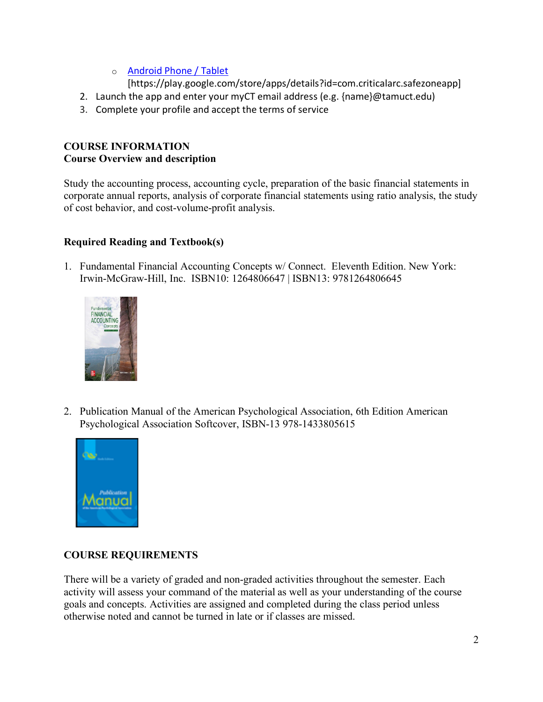o [Android Phone / Tablet](https://play.google.com/store/apps/details?id=com.criticalarc.safezoneapp)

[https://play.google.com/store/apps/details?id=com.criticalarc.safezoneapp]

- 2. Launch the app and enter your myCT email address (e.g. {name}@tamuct.edu)
- 3. Complete your profile and accept the terms of service

# **COURSE INFORMATION Course Overview and description**

Study the accounting process, accounting cycle, preparation of the basic financial statements in corporate annual reports, analysis of corporate financial statements using ratio analysis, the study of cost behavior, and cost-volume-profit analysis.

# **Required Reading and Textbook(s)**

1. Fundamental Financial Accounting Concepts w/ Connect. Eleventh Edition. New York: Irwin-McGraw-Hill, Inc. ISBN10: 1264806647 | ISBN13: 9781264806645



2. Publication Manual of the American Psychological Association, 6th Edition American Psychological Association Softcover, ISBN-13 978-1433805615



# **COURSE REQUIREMENTS**

There will be a variety of graded and non-graded activities throughout the semester. Each activity will assess your command of the material as well as your understanding of the course goals and concepts. Activities are assigned and completed during the class period unless otherwise noted and cannot be turned in late or if classes are missed.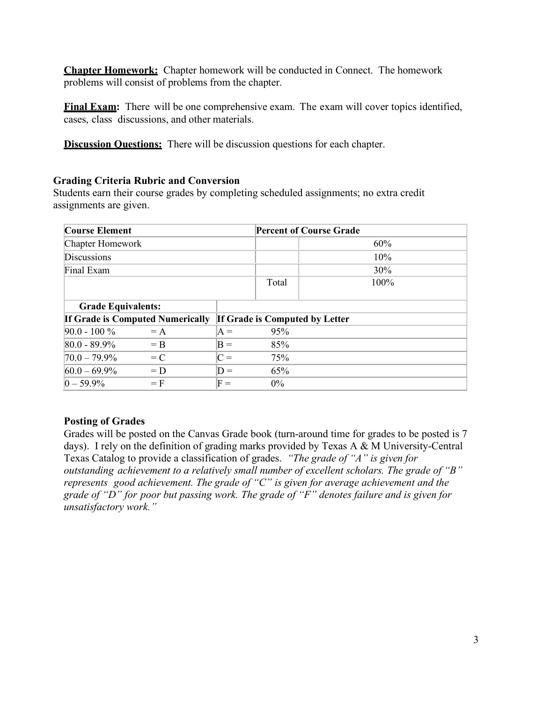**Chapter Homework:** Chapter homework will be conducted in Connect. The homework problems will consist of problems from the chapter.

**Final Exam:** There will be one comprehensive exam. The exam will cover topics identified, cases, class discussions, and other materials.

**Discussion Questions:** There will be discussion questions for each chapter.

#### **Grading Criteria Rubric and Conversion**

Students earn their course grades by completing scheduled assignments; no extra credit assignments are given.

| <b>Course Element</b>                   |                | <b>Percent of Course Grade</b> |                                |  |
|-----------------------------------------|----------------|--------------------------------|--------------------------------|--|
| Chapter Homework                        |                |                                | 60%                            |  |
| Discussions                             |                |                                | $10\%$                         |  |
| Final Exam                              |                |                                | 30%                            |  |
|                                         |                | Total                          | 100%                           |  |
| <b>Grade Equivalents:</b>               |                |                                |                                |  |
| <b>If Grade is Computed Numerically</b> |                |                                | If Grade is Computed by Letter |  |
| $90.0 - 100 \%$<br>$= A$                | $A =$          | 95%                            |                                |  |
| $80.0 - 89.9\%$<br>$=$ B                | $B =$          | 85%                            |                                |  |
| $ 70.0 - 79.9\% $<br>$= C$              | $C =$          | 75%                            |                                |  |
| $60.0 - 69.9\%$<br>$= D$                | $D =$          | 65%                            |                                |  |
| $0 - 59.9\%$<br>$=$ F                   | $\mathsf{F} =$ | $0\%$                          |                                |  |

#### **Posting of Grades**

Grades will be posted on the Canvas Grade book (turn-around time for grades to be posted is 7 days). I rely on the definition of grading marks provided by Texas A & M University-Central Texas Catalog to provide a classification of grades. *"The grade of "A" is given for outstanding achievement to a relatively small number of excellent scholars. The grade of "B" represents good achievement. The grade of "C" is given for average achievement and the grade of "D" for poor but passing work. The grade of "F" denotes failure and is given for unsatisfactory work."*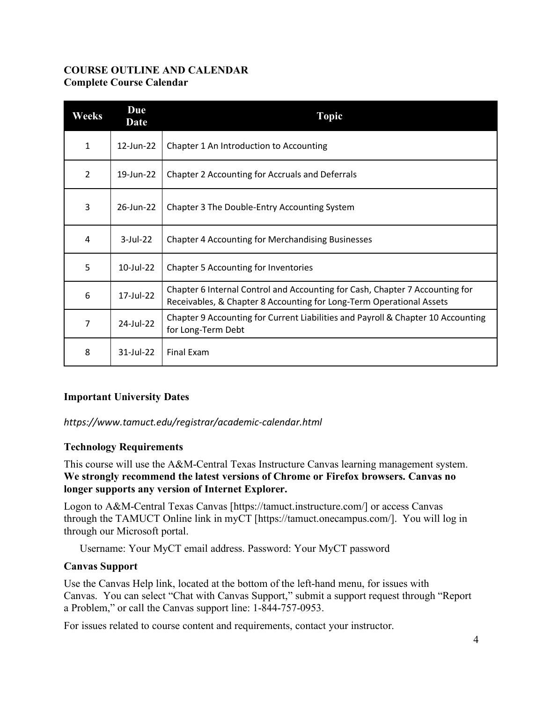### **COURSE OUTLINE AND CALENDAR Complete Course Calendar**

| Weeks          | Due<br><b>Date</b> | <b>Topic</b>                                                                                                                                         |
|----------------|--------------------|------------------------------------------------------------------------------------------------------------------------------------------------------|
| $\mathbf{1}$   | 12-Jun-22          | Chapter 1 An Introduction to Accounting                                                                                                              |
| $\overline{2}$ | 19-Jun-22          | Chapter 2 Accounting for Accruals and Deferrals                                                                                                      |
| 3              | 26-Jun-22          | Chapter 3 The Double-Entry Accounting System                                                                                                         |
| 4              | $3$ -Jul-22        | <b>Chapter 4 Accounting for Merchandising Businesses</b>                                                                                             |
| 5              | 10-Jul-22          | <b>Chapter 5 Accounting for Inventories</b>                                                                                                          |
| 6              | 17-Jul-22          | Chapter 6 Internal Control and Accounting for Cash, Chapter 7 Accounting for<br>Receivables, & Chapter 8 Accounting for Long-Term Operational Assets |
| 7              | 24-Jul-22          | Chapter 9 Accounting for Current Liabilities and Payroll & Chapter 10 Accounting<br>for Long-Term Debt                                               |
| 8              | 31-Jul-22          | Final Exam                                                                                                                                           |

# **Important University Dates**

*https://www.tamuct.edu/registrar/academic-calendar.html*

### **Technology Requirements**

This course will use the A&M-Central Texas Instructure Canvas learning management system. **We strongly recommend the latest versions of Chrome or Firefox browsers. Canvas no longer supports any version of Internet Explorer.**

Logon to A&M-Central Texas Canvas [https://tamuct.instructure.com/] or access Canvas through the TAMUCT Online link in myCT [https://tamuct.onecampus.com/]. You will log in through our Microsoft portal.

Username: Your MyCT email address. Password: Your MyCT password

#### **Canvas Support**

Use the Canvas Help link, located at the bottom of the left-hand menu, for issues with Canvas. You can select "Chat with Canvas Support," submit a support request through "Report a Problem," or call the Canvas support line: 1-844-757-0953.

For issues related to course content and requirements, contact your instructor.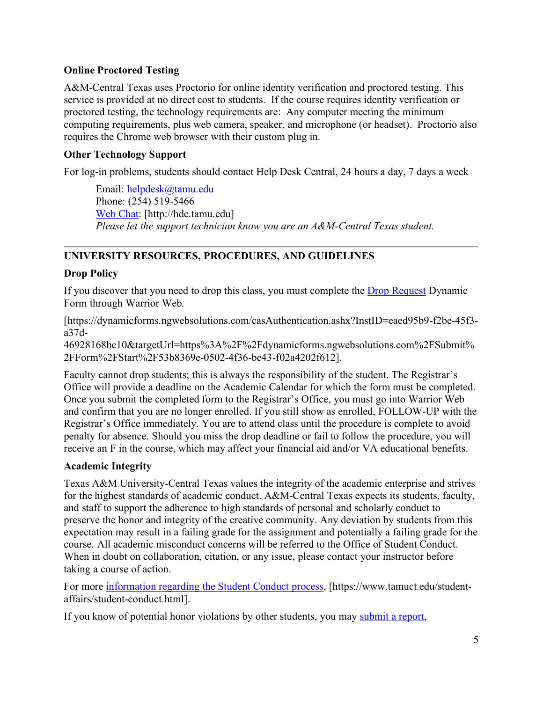### **Online Proctored Testing**

A&M-Central Texas uses Proctorio for online identity verification and proctored testing. This service is provided at no direct cost to students. If the course requires identity verification or proctored testing, the technology requirements are: Any computer meeting the minimum computing requirements, plus web camera, speaker, and microphone (or headset). Proctorio also requires the Chrome web browser with their custom plug in.

### **Other Technology Support**

For log-in problems, students should contact Help Desk Central, 24 hours a day, 7 days a week

Email: [helpdesk@tamu.edu](mailto:helpdesk@tamu.edu) Phone: (254) 519-5466 [Web Chat:](http://hdc.tamu.edu/) [http://hdc.tamu.edu] *Please let the support technician know you are an A&M-Central Texas student.*

# **UNIVERSITY RESOURCES, PROCEDURES, AND GUIDELINES**

# **Drop Policy**

If you discover that you need to drop this class, you must complete the **Drop Request** Dynamic Form through Warrior Web.

[https://dynamicforms.ngwebsolutions.com/casAuthentication.ashx?InstID=eaed95b9-f2be-45f3 a37d-

46928168bc10&targetUrl=https%3A%2F%2Fdynamicforms.ngwebsolutions.com%2FSubmit% 2FForm%2FStart%2F53b8369e-0502-4f36-be43-f02a4202f612].

Faculty cannot drop students; this is always the responsibility of the student. The Registrar's Office will provide a deadline on the Academic Calendar for which the form must be completed. Once you submit the completed form to the Registrar's Office, you must go into Warrior Web and confirm that you are no longer enrolled. If you still show as enrolled, FOLLOW-UP with the Registrar's Office immediately. You are to attend class until the procedure is complete to avoid penalty for absence. Should you miss the drop deadline or fail to follow the procedure, you will receive an F in the course, which may affect your financial aid and/or VA educational benefits.

# **Academic Integrity**

Texas A&M University-Central Texas values the integrity of the academic enterprise and strives for the highest standards of academic conduct. A&M-Central Texas expects its students, faculty, and staff to support the adherence to high standards of personal and scholarly conduct to preserve the honor and integrity of the creative community. Any deviation by students from this expectation may result in a failing grade for the assignment and potentially a failing grade for the course. All academic misconduct concerns will be referred to the Office of Student Conduct. When in doubt on collaboration, citation, or any issue, please contact your instructor before taking a course of action.

For more [information](https://nam04.safelinks.protection.outlook.com/?url=https%3A%2F%2Fwww.tamuct.edu%2Fstudent-affairs%2Fstudent-conduct.html&data=04%7C01%7Clisa.bunkowski%40tamuct.edu%7Ccfb6e486f24745f53e1a08d910055cb2%7C9eed4e3000f744849ff193ad8005acec%7C0%7C0%7C637558437485252160%7CUnknown%7CTWFpbGZsb3d8eyJWIjoiMC4wLjAwMDAiLCJQIjoiV2luMzIiLCJBTiI6Ik1haWwiLCJXVCI6Mn0%3D%7C1000&sdata=yjftDEVHvLX%2FhM%2FcFU0B99krV1RgEWR%2BJ%2BhvtoR6TYk%3D&reserved=0) regarding the Student Conduct process, [https://www.tamuct.edu/studentaffairs/student-conduct.html].

If you know of potential honor violations by other students, you may [submit](https://nam04.safelinks.protection.outlook.com/?url=https%3A%2F%2Fcm.maxient.com%2Freportingform.php%3FTAMUCentralTexas%26layout_id%3D0&data=04%7C01%7Clisa.bunkowski%40tamuct.edu%7Ccfb6e486f24745f53e1a08d910055cb2%7C9eed4e3000f744849ff193ad8005acec%7C0%7C0%7C637558437485262157%7CUnknown%7CTWFpbGZsb3d8eyJWIjoiMC4wLjAwMDAiLCJQIjoiV2luMzIiLCJBTiI6Ik1haWwiLCJXVCI6Mn0%3D%7C1000&sdata=CXGkOa6uPDPX1IMZ87z3aZDq2n91xfHKu4MMS43Ejjk%3D&reserved=0) a report,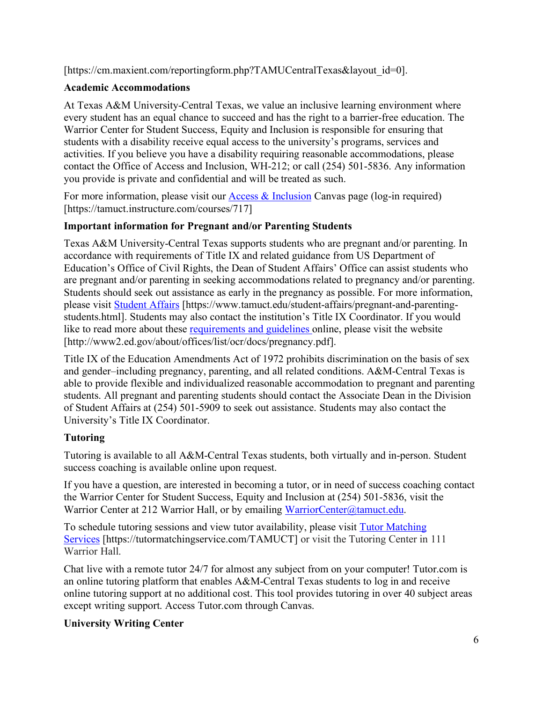[https://cm.maxient.com/reportingform.php?TAMUCentralTexas&layout\_id=0].

# **Academic Accommodations**

At Texas A&M University-Central Texas, we value an inclusive learning environment where every student has an equal chance to succeed and has the right to a barrier-free education. The Warrior Center for Student Success, Equity and Inclusion is responsible for ensuring that students with a disability receive equal access to the university's programs, services and activities. If you believe you have a disability requiring reasonable accommodations, please contact the Office of Access and Inclusion, WH-212; or call (254) 501-5836. Any information you provide is private and confidential and will be treated as such.

For more information, please visit our [Access & Inclusion](https://tamuct.instructure.com/courses/717) Canvas page (log-in required) [https://tamuct.instructure.com/courses/717]

# **Important information for Pregnant and/or Parenting Students**

Texas A&M University-Central Texas supports students who are pregnant and/or parenting. In accordance with requirements of Title IX and related guidance from US Department of Education's Office of Civil Rights, the Dean of Student Affairs' Office can assist students who are pregnant and/or parenting in seeking accommodations related to pregnancy and/or parenting. Students should seek out assistance as early in the pregnancy as possible. For more information, please visit [Student Affairs](https://www.tamuct.edu/student-affairs/pregnant-and-parenting-students.html) [https://www.tamuct.edu/student-affairs/pregnant-and-parentingstudents.html]. Students may also contact the institution's Title IX Coordinator. If you would like to read more about these [requirements and guidelines](http://www2.ed.gov/about/offices/list/ocr/docs/pregnancy.pdf) online, please visit the website [http://www2.ed.gov/about/offices/list/ocr/docs/pregnancy.pdf].

Title IX of the Education Amendments Act of 1972 prohibits discrimination on the basis of sex and gender–including pregnancy, parenting, and all related conditions. A&M-Central Texas is able to provide flexible and individualized reasonable accommodation to pregnant and parenting students. All pregnant and parenting students should contact the Associate Dean in the Division of Student Affairs at (254) 501-5909 to seek out assistance. Students may also contact the University's Title IX Coordinator.

# **Tutoring**

Tutoring is available to all A&M-Central Texas students, both virtually and in-person. Student success coaching is available online upon request.

If you have a question, are interested in becoming a tutor, or in need of success coaching contact the Warrior Center for Student Success, Equity and Inclusion at (254) 501-5836, visit the Warrior Center at 212 Warrior Hall, or by emailing [WarriorCenter@tamuct.edu.](mailto:WarriorCenter@tamuct.edu)

To schedule tutoring sessions and view tutor availability, please visit Tutor [Matching](https://tutormatchingservice.com/TAMUCT) [Services](https://tutormatchingservice.com/TAMUCT) [https://tutormatchingservice.com/TAMUCT] or visit the Tutoring Center in 111 Warrior Hall.

Chat live with a remote tutor 24/7 for almost any subject from on your computer! Tutor.com is an online tutoring platform that enables A&M-Central Texas students to log in and receive online tutoring support at no additional cost. This tool provides tutoring in over 40 subject areas except writing support. Access Tutor.com through Canvas.

# **University Writing Center**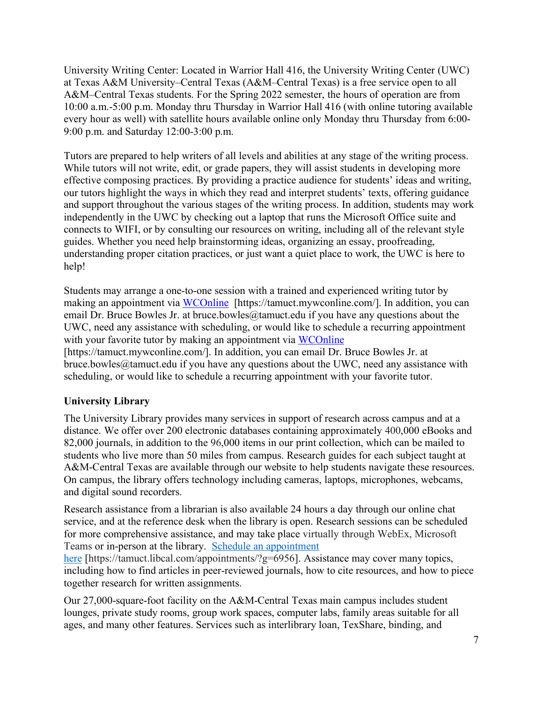University Writing Center: Located in Warrior Hall 416, the University Writing Center (UWC) at Texas A&M University–Central Texas (A&M–Central Texas) is a free service open to all A&M–Central Texas students. For the Spring 2022 semester, the hours of operation are from 10:00 a.m.-5:00 p.m. Monday thru Thursday in Warrior Hall 416 (with online tutoring available every hour as well) with satellite hours available online only Monday thru Thursday from 6:00- 9:00 p.m. and Saturday 12:00-3:00 p.m.

Tutors are prepared to help writers of all levels and abilities at any stage of the writing process. While tutors will not write, edit, or grade papers, they will assist students in developing more effective composing practices. By providing a practice audience for students' ideas and writing, our tutors highlight the ways in which they read and interpret students' texts, offering guidance and support throughout the various stages of the writing process. In addition, students may work independently in the UWC by checking out a laptop that runs the Microsoft Office suite and connects to WIFI, or by consulting our resources on writing, including all of the relevant style guides. Whether you need help brainstorming ideas, organizing an essay, proofreading, understanding proper citation practices, or just want a quiet place to work, the UWC is here to help!

Students may arrange a one-to-one session with a trained and experienced writing tutor by making an appointment via [WCOnline](https://tamuct.mywconline.com/) [https://tamuct.mywconline.com/]. In addition, you can email Dr. Bruce Bowles Jr. at bruce.bowles  $@$ tamuct.edu if you have any questions about the UWC, need any assistance with scheduling, or would like to schedule a recurring appointment with your favorite tutor by making an appointment via [WCOnline](https://tamuct.mywconline.com/) [https://tamuct.mywconline.com/]. In addition, you can email Dr. Bruce Bowles Jr. at bruce.bowles@tamuct.edu if you have any questions about the UWC, need any assistance with scheduling, or would like to schedule a recurring appointment with your favorite tutor.

### **University Library**

The University Library provides many services in support of research across campus and at a distance. We offer over 200 electronic databases containing approximately 400,000 eBooks and 82,000 journals, in addition to the 96,000 items in our print collection, which can be mailed to students who live more than 50 miles from campus. Research guides for each subject taught at A&M-Central Texas are available through our website to help students navigate these resources. On campus, the library offers technology including cameras, laptops, microphones, webcams, and digital sound recorders.

Research assistance from a librarian is also available 24 hours a day through our online chat service, and at the reference desk when the library is open. Research sessions can be scheduled for more comprehensive assistance, and may take place virtually through WebEx, Microsoft Teams or in-person at the library. Schedule an [appointment](https://nam04.safelinks.protection.outlook.com/?url=https%3A%2F%2Ftamuct.libcal.com%2Fappointments%2F%3Fg%3D6956&data=04%7C01%7Clisa.bunkowski%40tamuct.edu%7Cde2c07d9f5804f09518008d9ab7ba6ff%7C9eed4e3000f744849ff193ad8005acec%7C0%7C0%7C637729369835011558%7CUnknown%7CTWFpbGZsb3d8eyJWIjoiMC4wLjAwMDAiLCJQIjoiV2luMzIiLCJBTiI6Ik1haWwiLCJXVCI6Mn0%3D%7C3000&sdata=KhtjgRSAw9aq%2FoBsB6wyu8b7PSuGN5EGPypzr3Ty2No%3D&reserved=0)

[here](https://nam04.safelinks.protection.outlook.com/?url=https%3A%2F%2Ftamuct.libcal.com%2Fappointments%2F%3Fg%3D6956&data=04%7C01%7Clisa.bunkowski%40tamuct.edu%7Cde2c07d9f5804f09518008d9ab7ba6ff%7C9eed4e3000f744849ff193ad8005acec%7C0%7C0%7C637729369835011558%7CUnknown%7CTWFpbGZsb3d8eyJWIjoiMC4wLjAwMDAiLCJQIjoiV2luMzIiLCJBTiI6Ik1haWwiLCJXVCI6Mn0%3D%7C3000&sdata=KhtjgRSAw9aq%2FoBsB6wyu8b7PSuGN5EGPypzr3Ty2No%3D&reserved=0) [https://tamuct.libcal.com/appointments/?g=6956]. Assistance may cover many topics, including how to find articles in peer-reviewed journals, how to cite resources, and how to piece together research for written assignments.

Our 27,000-square-foot facility on the A&M-Central Texas main campus includes student lounges, private study rooms, group work spaces, computer labs, family areas suitable for all ages, and many other features. Services such as interlibrary loan, TexShare, binding, and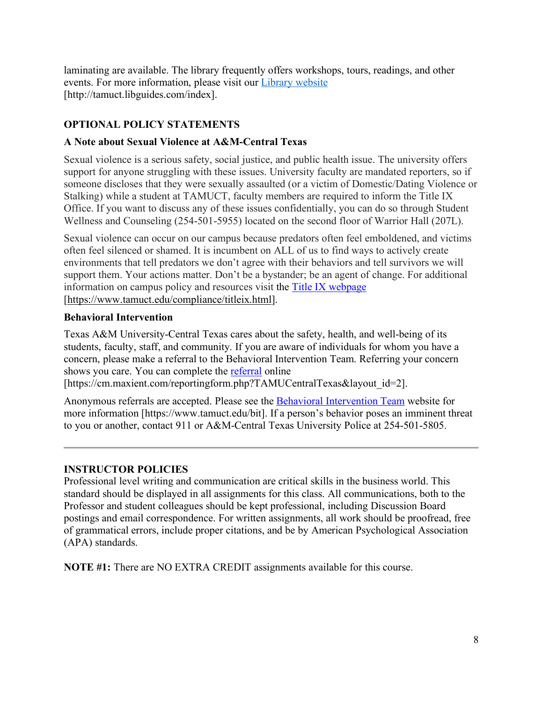laminating are available. The library frequently offers workshops, tours, readings, and other events. For more information, please visit our Library [website](https://nam04.safelinks.protection.outlook.com/?url=https%3A%2F%2Ftamuct.libguides.com%2Findex&data=04%7C01%7Clisa.bunkowski%40tamuct.edu%7C7d8489e8839a4915335f08d916f067f2%7C9eed4e3000f744849ff193ad8005acec%7C0%7C0%7C637566044056484222%7CUnknown%7CTWFpbGZsb3d8eyJWIjoiMC4wLjAwMDAiLCJQIjoiV2luMzIiLCJBTiI6Ik1haWwiLCJXVCI6Mn0%3D%7C1000&sdata=2R755V6rcIyedGrd4Os5rkgn1PvhHKU3kUV1vBKiHFo%3D&reserved=0) [http://tamuct.libguides.com/index].

# **OPTIONAL POLICY STATEMENTS**

### **A Note about Sexual Violence at A&M-Central Texas**

Sexual violence is a serious safety, social justice, and public health issue. The university offers support for anyone struggling with these issues. University faculty are mandated reporters, so if someone discloses that they were sexually assaulted (or a victim of Domestic/Dating Violence or Stalking) while a student at TAMUCT, faculty members are required to inform the Title IX Office. If you want to discuss any of these issues confidentially, you can do so through Student Wellness and Counseling (254-501-5955) located on the second floor of Warrior Hall (207L).

Sexual violence can occur on our campus because predators often feel emboldened, and victims often feel silenced or shamed. It is incumbent on ALL of us to find ways to actively create environments that tell predators we don't agree with their behaviors and tell survivors we will support them. Your actions matter. Don't be a bystander; be an agent of change. For additional information on campus policy and resources visit the [Title IX webpage](https://www.tamuct.edu/compliance/titleix.html) [\[https://www.tamuct.edu/compliance/titleix.html\]](https://www.tamuct.edu/compliance/titleix.html).

### **Behavioral Intervention**

Texas A&M University-Central Texas cares about the safety, health, and well-being of its students, faculty, staff, and community. If you are aware of individuals for whom you have a concern, please make a referral to the Behavioral Intervention Team. Referring your concern shows you care. You can complete the [referral](https://cm.maxient.com/reportingform.php?TAMUCentralTexas&layout_id=2) online

```
[https://cm.maxient.com/reportingform.php?TAMUCentralTexas&layout_id=2].
```
Anonymous referrals are accepted. Please see the [Behavioral Intervention Team](https://www.tamuct.edu/bit) website for more information [https://www.tamuct.edu/bit]. If a person's behavior poses an imminent threat to you or another, contact 911 or A&M-Central Texas University Police at 254-501-5805.

### **INSTRUCTOR POLICIES**

Professional level writing and communication are critical skills in the business world. This standard should be displayed in all assignments for this class. All communications, both to the Professor and student colleagues should be kept professional, including Discussion Board postings and email correspondence. For written assignments, all work should be proofread, free of grammatical errors, include proper citations, and be by American Psychological Association (APA) standards.

**NOTE #1:** There are NO EXTRA CREDIT assignments available for this course.